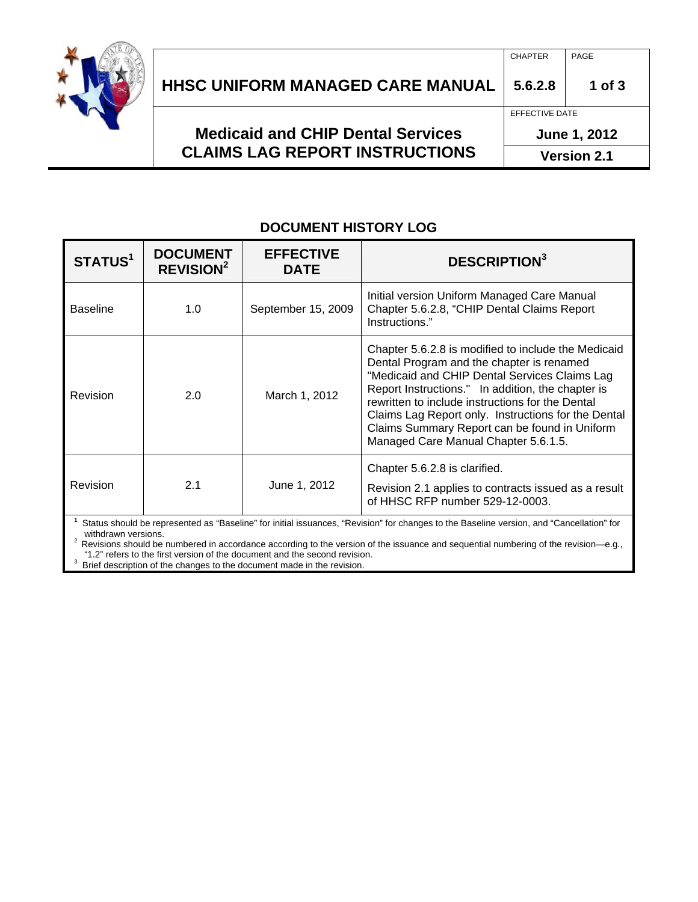

| <b>Medicaid and CHIP Dental Services</b><br><b>CLAIMS LAG REPORT INSTRUCTIONS</b> | June 1, 2012   |            |
|-----------------------------------------------------------------------------------|----------------|------------|
|                                                                                   | EFFECTIVE DATE |            |
| <b>HHSC UNIFORM MANAGED CARE MANUAL</b>                                           | 5.6.2.8        | $1$ of $3$ |
|                                                                                   | <b>CHAPTER</b> | PAGE       |

## **DOCUMENT HISTORY LOG**

| STATUS <sup>1</sup> | <b>DOCUMENT</b><br><b>REVISION<sup>2</sup></b> | <b>EFFECTIVE</b><br><b>DATE</b> | <b>DESCRIPTION</b> <sup>3</sup>                                                                                                                                                                                                                                                                                                                                                                            |
|---------------------|------------------------------------------------|---------------------------------|------------------------------------------------------------------------------------------------------------------------------------------------------------------------------------------------------------------------------------------------------------------------------------------------------------------------------------------------------------------------------------------------------------|
| <b>Baseline</b>     | 1.0                                            | September 15, 2009              | Initial version Uniform Managed Care Manual<br>Chapter 5.6.2.8, "CHIP Dental Claims Report<br>Instructions."                                                                                                                                                                                                                                                                                               |
| Revision            | 2.0                                            | March 1, 2012                   | Chapter 5.6.2.8 is modified to include the Medicaid<br>Dental Program and the chapter is renamed<br>"Medicaid and CHIP Dental Services Claims Lag<br>Report Instructions." In addition, the chapter is<br>rewritten to include instructions for the Dental<br>Claims Lag Report only. Instructions for the Dental<br>Claims Summary Report can be found in Uniform<br>Managed Care Manual Chapter 5.6.1.5. |
| Revision            | 2.1                                            | June 1, 2012                    | Chapter 5.6.2.8 is clarified.<br>Revision 2.1 applies to contracts issued as a result<br>of HHSC RFP number 529-12-0003.<br><sup>1</sup> Status abould be represented as "Pesoline" for initial isouspeas. "Povinion" for abonges to the Pesoline version, and "Cancellation" for                                                                                                                          |

 Status should be represented as "Baseline" for initial issuances, "Revision" for changes to the Baseline version, and "Cancellation" for withdrawn versions.<br><sup>2</sup> Revisions should be numbered in accordance according to the version of the issuance and sequential numbering of the revision—e.g.,

"1.2" refers to the first version of the document and the second revision.<br> $3\overline{)}$  Priof description of the shapes to the document mode in the revision.

Brief description of the changes to the document made in the revision.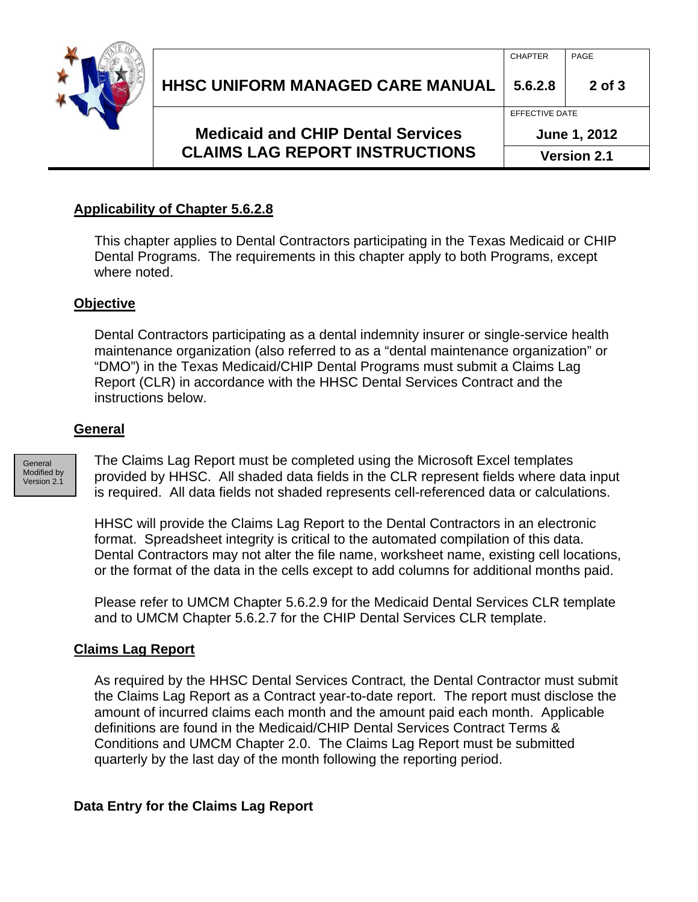

### **Applicability of Chapter 5.6.2.8**

This chapter applies to Dental Contractors participating in the Texas Medicaid or CHIP Dental Programs. The requirements in this chapter apply to both Programs, except where noted.

#### **Objective**

Dental Contractors participating as a dental indemnity insurer or single-service health maintenance organization (also referred to as a "dental maintenance organization" or "DMO") in the Texas Medicaid/CHIP Dental Programs must submit a Claims Lag Report (CLR) in accordance with the HHSC Dental Services Contract and the instructions below.

#### **General**

**General** Modified by Version 2.1

The Claims Lag Report must be completed using the Microsoft Excel templates provided by HHSC. All shaded data fields in the CLR represent fields where data input is required. All data fields not shaded represents cell-referenced data or calculations.

HHSC will provide the Claims Lag Report to the Dental Contractors in an electronic format. Spreadsheet integrity is critical to the automated compilation of this data. Dental Contractors may not alter the file name, worksheet name, existing cell locations, or the format of the data in the cells except to add columns for additional months paid.

Please refer to UMCM Chapter 5.6.2.9 for the Medicaid Dental Services CLR template and to UMCM Chapter 5.6.2.7 for the CHIP Dental Services CLR template.

#### **Claims Lag Report**

As required by the HHSC Dental Services Contract*,* the Dental Contractor must submit the Claims Lag Report as a Contract year-to-date report. The report must disclose the amount of incurred claims each month and the amount paid each month. Applicable definitions are found in the Medicaid/CHIP Dental Services Contract Terms & Conditions and UMCM Chapter 2.0. The Claims Lag Report must be submitted quarterly by the last day of the month following the reporting period.

#### **Data Entry for the Claims Lag Report**